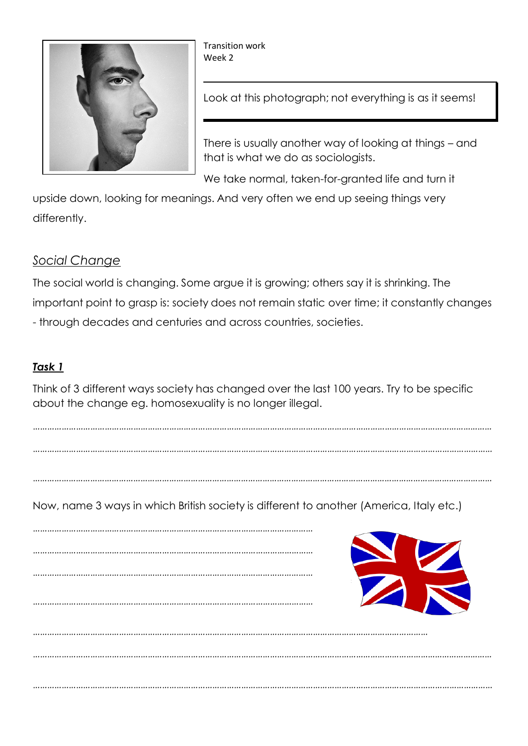

Transition work Week 2

Look at this photograph; not everything is as it seems!

There is usually another way of looking at things – and that is what we do as sociologists.

We take normal, taken-for-granted life and turn it

upside down, looking for meanings. And very often we end up seeing things very differently.

## *Social Change*

The social world is changing. Some argue it is growing; others say it is shrinking. The important point to grasp is: society does not remain static over time; it constantly changes - through decades and centuries and across countries, societies.

## *Task 1*

Think of 3 different ways society has changed over the last 100 years. Try to be specific about the change eg. homosexuality is no longer illegal.

………………………………………………………………………………………………………………………………………………………………………… …………………………………………………………………………………………………………………………………………………………………………

…………………………………………………………………………………………………………………………………………………………………………

…………………………………………………………………………………………………………………………………………………………………………

Now, name 3 ways in which British society is different to another (America, Italy etc.)

……………………………………………………………………………………………………… ……………………………………………………………………………………………………… ……………………………………………………………………………………………………… ……………………………………………………………………………………………………… ………………………………………………………………………………………………………………………………………………… …………………………………………………………………………………………………………………………………………………………………………

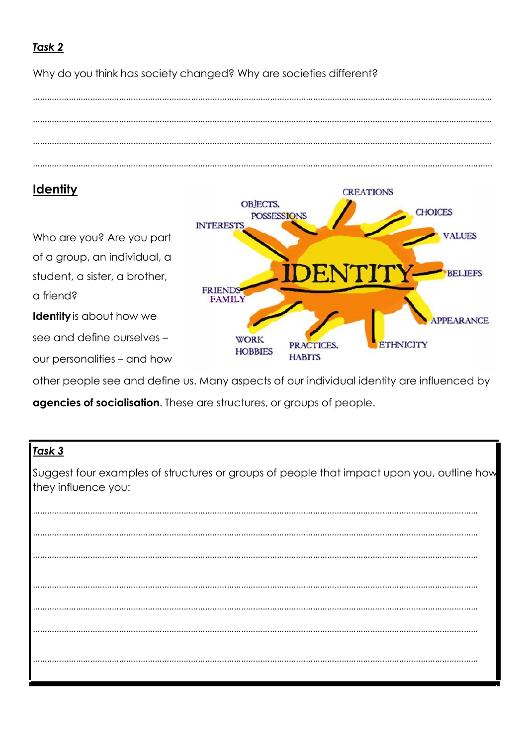## *Task 2*

Why do you think has society changed? Why are societies different?



# **Identity**

Who are you? Are you part of a group, an individual, a student, a sister, a brother, a friend? **Identity**is about how we

see and define ourselves –

our personalities – and how

**CREATIONS** OBJECTS, **CHOICES POSSESSIONS INTEREST VALUES BELIEFS FRIENDS FAMILY** PPEARANCE **WORK ETHNICITY** PRACTICES, **HOBBIES HABITS** 

other people see and define us. Many aspects of our individual identity are influenced by

**agencies of socialisation**. These are structures, or groups of people.

## *Task 3*

Suggest four examples of structures or groups of people that impact upon you, outline how they influence you:

…………………………………………………………………………………………………………………………………………………………………… …………………………………………………………………………………………………………………………………………………………………… …………………………………………………………………………………………………………………………………………………………………… …………………………………………………………………………………………………………………………………………………………………… …………………………………………………………………………………………………………………………………………………………………… …………………………………………………………………………………………………………………………………………………………………… ……………………………………………………………………………………………………………………………………………………………………